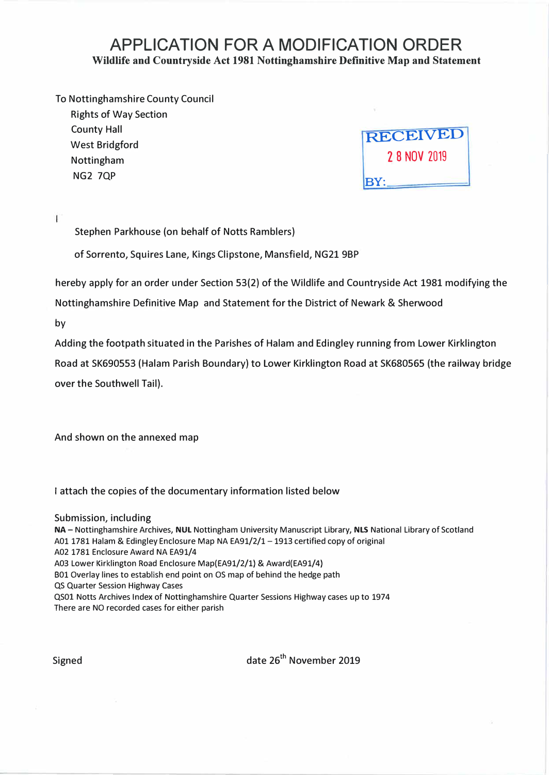### **APPLICATION FOR A MODIFICATION ORDER Wildlife and Countryside Act 1981 Nottinghamshire Definitive Map and Statement**

### To Nottinghamshire County Council

Rights of Way Section County Hall West Bridgford Nottingham NG2 7QP

**RECEIVED 2 8 NOV 2019 BY:** 

 $\mathbf{I}$ 

Stephen Parkhouse (on behalf of Notts Ramblers)

of Sorrento, Squires Lane, Kings Clipstone, Mansfield, NG21 9BP

hereby apply for an order under Section 53(2) of the Wildlife and Countryside Act 1981 modifying the

Nottinghamshire Definitive Map and Statement for the District of Newark & Sherwood

by

Adding the footpath situated in the Parishes of Halam and Edingley running from Lower Kirklington

Road at SK690553 (Halam Parish Boundary) to Lower Kirklington Road at SK680565 (the railway bridge over the Southwell Tail).

And shown on the annexed map

I attach the copies of the documentary information listed below

Submission, including **NA** - Nottinghamshire Archives, **NUL** Nottingham University Manuscript Library, **NLS** National Library of Scotland A0l 1781 Halam & Edingley Enclosure Map NA EA91/2/1-1913 certified copy of original A02 1781 Enclosure Award NA EA91/4 A03 Lower Kirklington Road Enclosure Map(EA91/2/1) & Award(EA91/4) B01 Overlay lines to establish end point on OS map of behind the hedge path QS Quarter Session Highway Cases QS0l Notts Archives Index of Nottinghamshire Quarter Sessions Highway cases up to 1974 There are NO recorded cases for either parish

Signed date 26<sup>th</sup> November 2019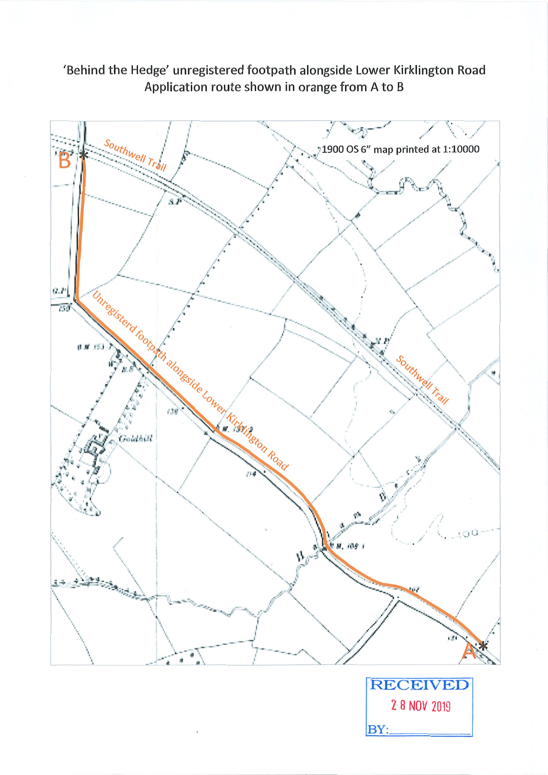## 'Behind the Hedge' unregistered footpath alongside Lower Kirklington Road Application route shown in orange from A to B